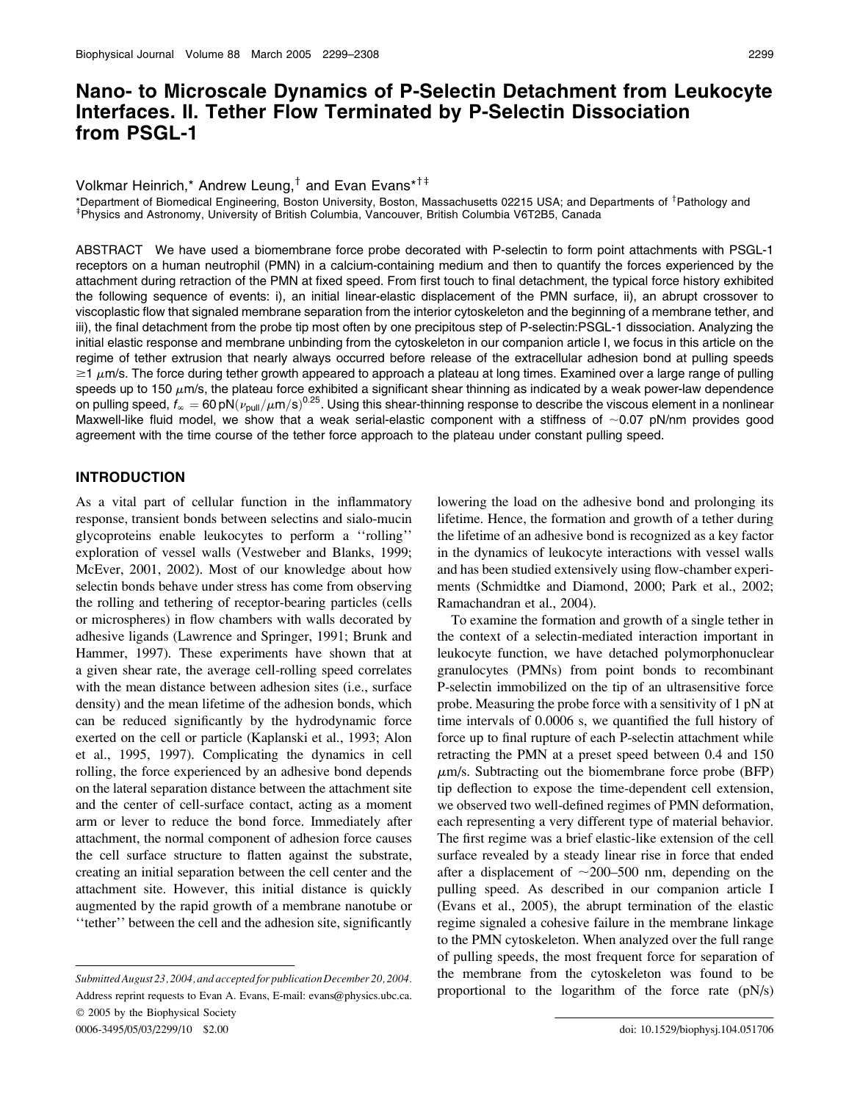# Nano- to Microscale Dynamics of P-Selectin Detachment from Leukocyte Interfaces. II. Tether Flow Terminated by P-Selectin Dissociation from PSGL-1

Volkmar Heinrich,\* Andrew Leung,<sup>†</sup> and Evan Evans\*<sup>†‡</sup>

\*Department of Biomedical Engineering, Boston University, Boston, Massachusetts 02215 USA; and Departments of <sup>†</sup>Pathology and <sup>‡</sup>Physics and Astronomy, University of British Columbia, Vancouver, British Columbia V6T2B5, Canada

ABSTRACT We have used a biomembrane force probe decorated with P-selectin to form point attachments with PSGL-1 receptors on a human neutrophil (PMN) in a calcium-containing medium and then to quantify the forces experienced by the attachment during retraction of the PMN at fixed speed. From first touch to final detachment, the typical force history exhibited the following sequence of events: i), an initial linear-elastic displacement of the PMN surface, ii), an abrupt crossover to viscoplastic flow that signaled membrane separation from the interior cytoskeleton and the beginning of a membrane tether, and iii), the final detachment from the probe tip most often by one precipitous step of P-selectin:PSGL-1 dissociation. Analyzing the initial elastic response and membrane unbinding from the cytoskeleton in our companion article I, we focus in this article on the regime of tether extrusion that nearly always occurred before release of the extracellular adhesion bond at pulling speeds  $\geq$ 1  $\mu$ m/s. The force during tether growth appeared to approach a plateau at long times. Examined over a large range of pulling speeds up to 150  $\mu$ m/s, the plateau force exhibited a significant shear thinning as indicated by a weak power-law dependence on pulling speed,  $f_\infty=60$  pN $(\nu_{\rm pull}/\mu$ m/s)<sup>0.25</sup>. Using this shear-thinning response to describe the viscous element in a nonlinear Maxwell-like fluid model, we show that a weak serial-elastic component with a stiffness of  $\sim$ 0.07 pN/nm provides good agreement with the time course of the tether force approach to the plateau under constant pulling speed.

### INTRODUCTION

As a vital part of cellular function in the inflammatory response, transient bonds between selectins and sialo-mucin glycoproteins enable leukocytes to perform a ''rolling'' exploration of vessel walls (Vestweber and Blanks, 1999; McEver, 2001, 2002). Most of our knowledge about how selectin bonds behave under stress has come from observing the rolling and tethering of receptor-bearing particles (cells or microspheres) in flow chambers with walls decorated by adhesive ligands (Lawrence and Springer, 1991; Brunk and Hammer, 1997). These experiments have shown that at a given shear rate, the average cell-rolling speed correlates with the mean distance between adhesion sites (i.e., surface density) and the mean lifetime of the adhesion bonds, which can be reduced significantly by the hydrodynamic force exerted on the cell or particle (Kaplanski et al., 1993; Alon et al., 1995, 1997). Complicating the dynamics in cell rolling, the force experienced by an adhesive bond depends on the lateral separation distance between the attachment site and the center of cell-surface contact, acting as a moment arm or lever to reduce the bond force. Immediately after attachment, the normal component of adhesion force causes the cell surface structure to flatten against the substrate, creating an initial separation between the cell center and the attachment site. However, this initial distance is quickly augmented by the rapid growth of a membrane nanotube or ''tether'' between the cell and the adhesion site, significantly

lowering the load on the adhesive bond and prolonging its lifetime. Hence, the formation and growth of a tether during the lifetime of an adhesive bond is recognized as a key factor in the dynamics of leukocyte interactions with vessel walls and has been studied extensively using flow-chamber experiments (Schmidtke and Diamond, 2000; Park et al., 2002; Ramachandran et al., 2004).

To examine the formation and growth of a single tether in the context of a selectin-mediated interaction important in leukocyte function, we have detached polymorphonuclear granulocytes (PMNs) from point bonds to recombinant P-selectin immobilized on the tip of an ultrasensitive force probe. Measuring the probe force with a sensitivity of 1 pN at time intervals of 0.0006 s, we quantified the full history of force up to final rupture of each P-selectin attachment while retracting the PMN at a preset speed between 0.4 and 150  $\mu$ m/s. Subtracting out the biomembrane force probe (BFP) tip deflection to expose the time-dependent cell extension, we observed two well-defined regimes of PMN deformation, each representing a very different type of material behavior. The first regime was a brief elastic-like extension of the cell surface revealed by a steady linear rise in force that ended after a displacement of  $\sim$ 200–500 nm, depending on the pulling speed. As described in our companion article I (Evans et al., 2005), the abrupt termination of the elastic regime signaled a cohesive failure in the membrane linkage to the PMN cytoskeleton. When analyzed over the full range of pulling speeds, the most frequent force for separation of the membrane from the cytoskeleton was found to be proportional to the logarithm of the force rate (pN/s)

Submitted August 23, 2004, and accepted for publication December 20, 2004. Address reprint requests to Evan A. Evans, E-mail: evans@physics.ubc.ca.  $© 2005$  by the Biophysical Society 0006-3495/05/03/2299/10 \$2.00 doi: 10.1529/biophysj.104.051706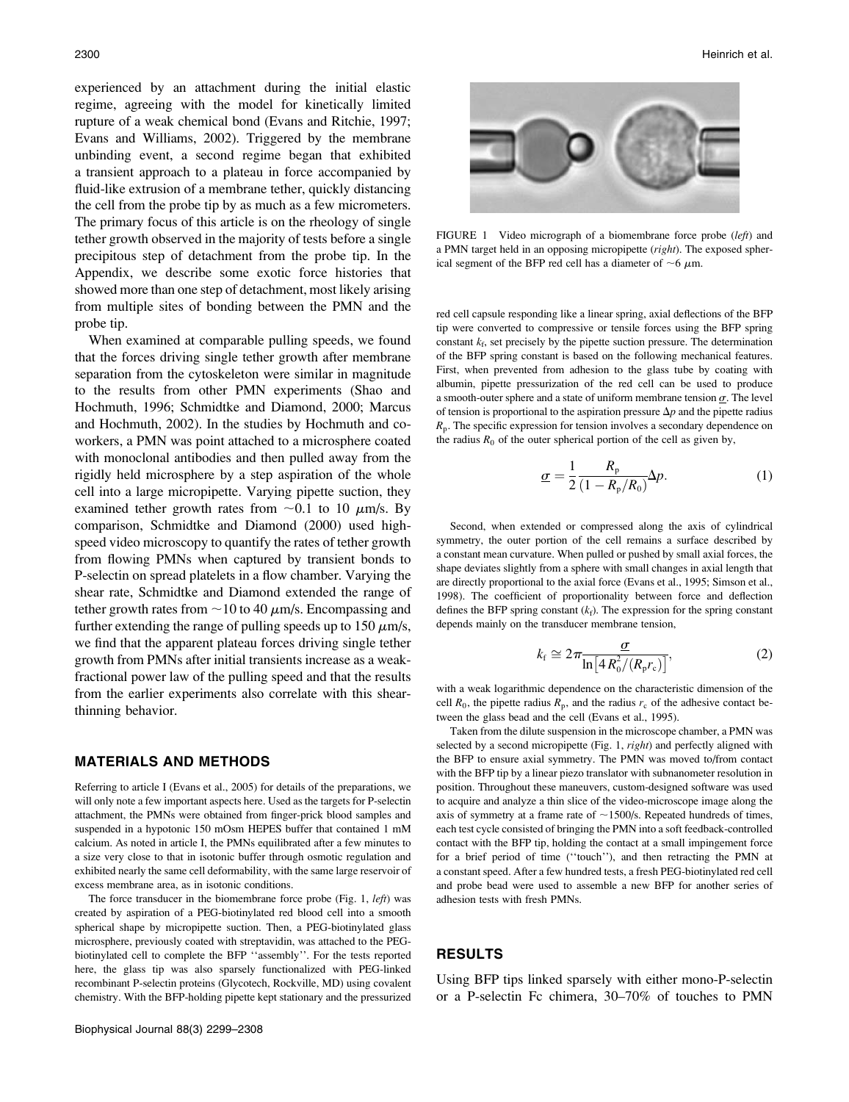experienced by an attachment during the initial elastic regime, agreeing with the model for kinetically limited rupture of a weak chemical bond (Evans and Ritchie, 1997; Evans and Williams, 2002). Triggered by the membrane unbinding event, a second regime began that exhibited a transient approach to a plateau in force accompanied by fluid-like extrusion of a membrane tether, quickly distancing the cell from the probe tip by as much as a few micrometers. The primary focus of this article is on the rheology of single tether growth observed in the majority of tests before a single precipitous step of detachment from the probe tip. In the Appendix, we describe some exotic force histories that showed more than one step of detachment, most likely arising from multiple sites of bonding between the PMN and the probe tip.

When examined at comparable pulling speeds, we found that the forces driving single tether growth after membrane separation from the cytoskeleton were similar in magnitude to the results from other PMN experiments (Shao and Hochmuth, 1996; Schmidtke and Diamond, 2000; Marcus and Hochmuth, 2002). In the studies by Hochmuth and coworkers, a PMN was point attached to a microsphere coated with monoclonal antibodies and then pulled away from the rigidly held microsphere by a step aspiration of the whole cell into a large micropipette. Varying pipette suction, they examined tether growth rates from  $\sim 0.1$  to 10  $\mu$ m/s. By comparison, Schmidtke and Diamond (2000) used highspeed video microscopy to quantify the rates of tether growth from flowing PMNs when captured by transient bonds to P-selectin on spread platelets in a flow chamber. Varying the shear rate, Schmidtke and Diamond extended the range of tether growth rates from  $\sim$  10 to 40  $\mu$ m/s. Encompassing and further extending the range of pulling speeds up to  $150 \mu m/s$ , we find that the apparent plateau forces driving single tether growth from PMNs after initial transients increase as a weakfractional power law of the pulling speed and that the results from the earlier experiments also correlate with this shearthinning behavior.

### MATERIALS AND METHODS

Referring to article I (Evans et al., 2005) for details of the preparations, we will only note a few important aspects here. Used as the targets for P-selectin attachment, the PMNs were obtained from finger-prick blood samples and suspended in a hypotonic 150 mOsm HEPES buffer that contained 1 mM calcium. As noted in article I, the PMNs equilibrated after a few minutes to a size very close to that in isotonic buffer through osmotic regulation and exhibited nearly the same cell deformability, with the same large reservoir of excess membrane area, as in isotonic conditions.

The force transducer in the biomembrane force probe (Fig. 1, *left*) was created by aspiration of a PEG-biotinylated red blood cell into a smooth spherical shape by micropipette suction. Then, a PEG-biotinylated glass microsphere, previously coated with streptavidin, was attached to the PEGbiotinylated cell to complete the BFP ''assembly''. For the tests reported here, the glass tip was also sparsely functionalized with PEG-linked recombinant P-selectin proteins (Glycotech, Rockville, MD) using covalent chemistry. With the BFP-holding pipette kept stationary and the pressurized



FIGURE 1 Video micrograph of a biomembrane force probe (left) and a PMN target held in an opposing micropipette (right). The exposed spherical segment of the BFP red cell has a diameter of  $\sim$ 6  $\mu$ m.

red cell capsule responding like a linear spring, axial deflections of the BFP tip were converted to compressive or tensile forces using the BFP spring constant  $k_f$ , set precisely by the pipette suction pressure. The determination of the BFP spring constant is based on the following mechanical features. First, when prevented from adhesion to the glass tube by coating with albumin, pipette pressurization of the red cell can be used to produce a smooth-outer sphere and a state of uniform membrane tension  $\sigma$ . The level of tension is proportional to the aspiration pressure  $\Delta p$  and the pipette radius  $R_p$ . The specific expression for tension involves a secondary dependence on the radius  $R_0$  of the outer spherical portion of the cell as given by,

$$
\underline{\sigma} = \frac{1}{2} \frac{R_{\rm p}}{(1 - R_{\rm p}/R_0)} \Delta p. \tag{1}
$$

Second, when extended or compressed along the axis of cylindrical symmetry, the outer portion of the cell remains a surface described by a constant mean curvature. When pulled or pushed by small axial forces, the shape deviates slightly from a sphere with small changes in axial length that are directly proportional to the axial force (Evans et al., 1995; Simson et al., 1998). The coefficient of proportionality between force and deflection defines the BFP spring constant  $(k_f)$ . The expression for the spring constant depends mainly on the transducer membrane tension,

$$
k_{\rm f} \cong 2\pi \frac{\sigma}{\ln\left[4R_0^2/(R_{\rm p}r_{\rm c})\right]},\tag{2}
$$

with a weak logarithmic dependence on the characteristic dimension of the cell  $R_0$ , the pipette radius  $R_p$ , and the radius  $r_c$  of the adhesive contact between the glass bead and the cell (Evans et al., 1995).

Taken from the dilute suspension in the microscope chamber, a PMN was selected by a second micropipette (Fig. 1, right) and perfectly aligned with the BFP to ensure axial symmetry. The PMN was moved to/from contact with the BFP tip by a linear piezo translator with subnanometer resolution in position. Throughout these maneuvers, custom-designed software was used to acquire and analyze a thin slice of the video-microscope image along the axis of symmetry at a frame rate of  $\sim$ 1500/s. Repeated hundreds of times, each test cycle consisted of bringing the PMN into a soft feedback-controlled contact with the BFP tip, holding the contact at a small impingement force for a brief period of time (''touch''), and then retracting the PMN at a constant speed. After a few hundred tests, a fresh PEG-biotinylated red cell and probe bead were used to assemble a new BFP for another series of adhesion tests with fresh PMNs.

#### RESULTS

Using BFP tips linked sparsely with either mono-P-selectin or a P-selectin Fc chimera, 30–70% of touches to PMN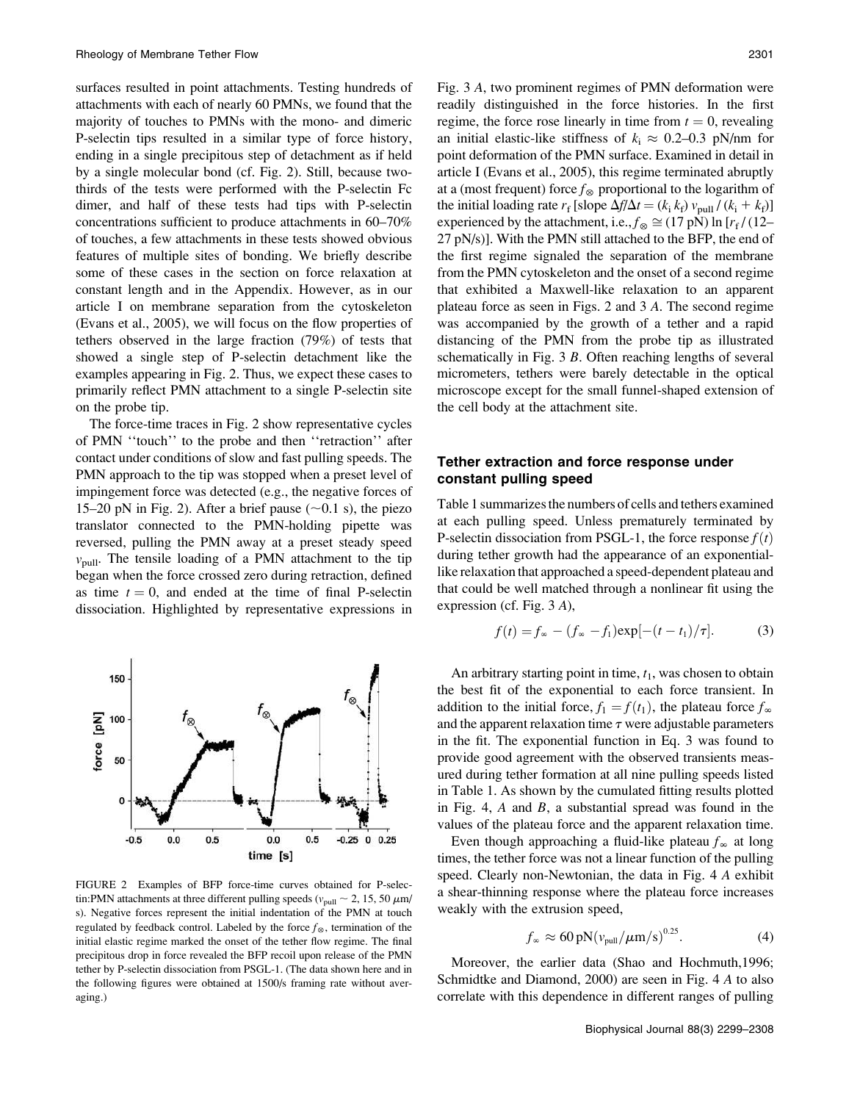surfaces resulted in point attachments. Testing hundreds of attachments with each of nearly 60 PMNs, we found that the majority of touches to PMNs with the mono- and dimeric P-selectin tips resulted in a similar type of force history, ending in a single precipitous step of detachment as if held by a single molecular bond (cf. Fig. 2). Still, because twothirds of the tests were performed with the P-selectin Fc dimer, and half of these tests had tips with P-selectin concentrations sufficient to produce attachments in 60–70% of touches, a few attachments in these tests showed obvious features of multiple sites of bonding. We briefly describe some of these cases in the section on force relaxation at constant length and in the Appendix. However, as in our article I on membrane separation from the cytoskeleton (Evans et al., 2005), we will focus on the flow properties of tethers observed in the large fraction (79%) of tests that showed a single step of P-selectin detachment like the examples appearing in Fig. 2. Thus, we expect these cases to primarily reflect PMN attachment to a single P-selectin site on the probe tip.

The force-time traces in Fig. 2 show representative cycles of PMN ''touch'' to the probe and then ''retraction'' after contact under conditions of slow and fast pulling speeds. The PMN approach to the tip was stopped when a preset level of impingement force was detected (e.g., the negative forces of 15–20 pN in Fig. 2). After a brief pause ( $\sim$ 0.1 s), the piezo translator connected to the PMN-holding pipette was reversed, pulling the PMN away at a preset steady speed  $v_{\text{pull}}$ . The tensile loading of a PMN attachment to the tip began when the force crossed zero during retraction, defined as time  $t = 0$ , and ended at the time of final P-selectin dissociation. Highlighted by representative expressions in



FIGURE 2 Examples of BFP force-time curves obtained for P-selectin:PMN attachments at three different pulling speeds ( $v_{\text{null}} \sim 2$ , 15, 50  $\mu$ m/ s). Negative forces represent the initial indentation of the PMN at touch regulated by feedback control. Labeled by the force  $f_{\otimes}$ , termination of the initial elastic regime marked the onset of the tether flow regime. The final precipitous drop in force revealed the BFP recoil upon release of the PMN tether by P-selectin dissociation from PSGL-1. (The data shown here and in the following figures were obtained at 1500/s framing rate without averaging.)

Fig. 3 A, two prominent regimes of PMN deformation were readily distinguished in the force histories. In the first regime, the force rose linearly in time from  $t = 0$ , revealing an initial elastic-like stiffness of  $k_i \approx 0.2{\text -}0.3$  pN/nm for point deformation of the PMN surface. Examined in detail in article I (Evans et al., 2005), this regime terminated abruptly at a (most frequent) force  $f_{\otimes}$  proportional to the logarithm of the initial loading rate  $r_f$  [slope  $\Delta f/\Delta t = (k_i k_f) v_{pull} / (k_i + k_f)$ ] experienced by the attachment, i.e.,  $f_{\otimes} \cong (17 \text{ pN}) \ln [r_f / (12-\text{m})]$ 27 pN/s)]. With the PMN still attached to the BFP, the end of the first regime signaled the separation of the membrane from the PMN cytoskeleton and the onset of a second regime that exhibited a Maxwell-like relaxation to an apparent plateau force as seen in Figs. 2 and 3 A. The second regime was accompanied by the growth of a tether and a rapid distancing of the PMN from the probe tip as illustrated schematically in Fig. 3 B. Often reaching lengths of several micrometers, tethers were barely detectable in the optical microscope except for the small funnel-shaped extension of the cell body at the attachment site.

# Tether extraction and force response under constant pulling speed

Table 1 summarizes the numbers of cells and tethers examined at each pulling speed. Unless prematurely terminated by P-selectin dissociation from PSGL-1, the force response  $f(t)$ during tether growth had the appearance of an exponentiallike relaxation that approached a speed-dependent plateau and that could be well matched through a nonlinear fit using the expression (cf. Fig. 3 A),

$$
f(t) = f_{\infty} - (f_{\infty} - f_1) \exp[-(t - t_1)/\tau].
$$
 (3)

An arbitrary starting point in time,  $t_1$ , was chosen to obtain the best fit of the exponential to each force transient. In addition to the initial force,  $f_1 = f(t_1)$ , the plateau force  $f_\infty$ and the apparent relaxation time  $\tau$  were adjustable parameters in the fit. The exponential function in Eq. 3 was found to provide good agreement with the observed transients measured during tether formation at all nine pulling speeds listed in Table 1. As shown by the cumulated fitting results plotted in Fig. 4,  $A$  and  $B$ , a substantial spread was found in the values of the plateau force and the apparent relaxation time.

Even though approaching a fluid-like plateau  $f_\infty$  at long times, the tether force was not a linear function of the pulling speed. Clearly non-Newtonian, the data in Fig. 4 A exhibit a shear-thinning response where the plateau force increases weakly with the extrusion speed,

$$
f_{\infty} \approx 60 \,\text{pN} \big( v_{\text{pull}} / \mu \text{m/s} \big)^{0.25} . \tag{4}
$$

Moreover, the earlier data (Shao and Hochmuth,1996; Schmidtke and Diamond, 2000) are seen in Fig. 4 A to also correlate with this dependence in different ranges of pulling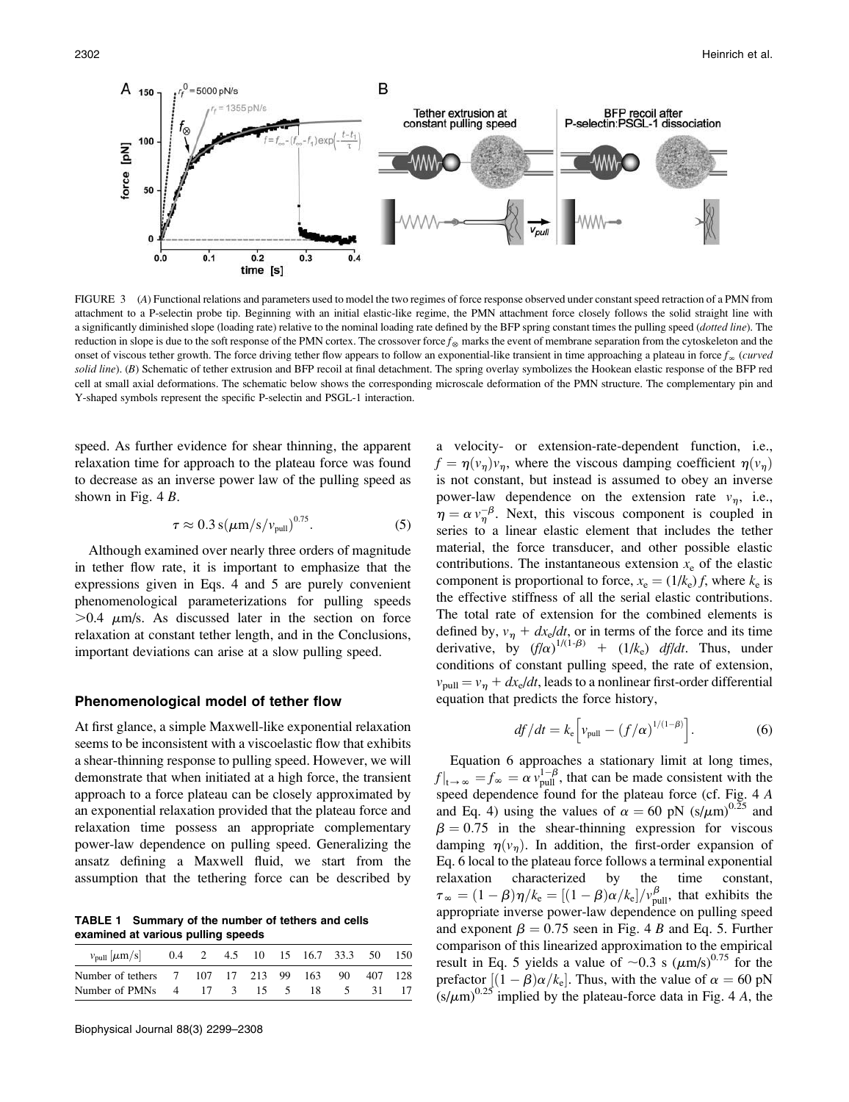

FIGURE 3 (A) Functional relations and parameters used to model the two regimes of force response observed under constant speed retraction of a PMN from attachment to a P-selectin probe tip. Beginning with an initial elastic-like regime, the PMN attachment force closely follows the solid straight line with a significantly diminished slope (loading rate) relative to the nominal loading rate defined by the BFP spring constant times the pulling speed (dotted line). The reduction in slope is due to the soft response of the PMN cortex. The crossover force  $f_{\infty}$  marks the event of membrane separation from the cytoskeleton and the onset of viscous tether growth. The force driving tether flow appears to follow an exponential-like transient in time approaching a plateau in force  $f_{\infty}$  (curved solid line). (B) Schematic of tether extrusion and BFP recoil at final detachment. The spring overlay symbolizes the Hookean elastic response of the BFP red cell at small axial deformations. The schematic below shows the corresponding microscale deformation of the PMN structure. The complementary pin and Y-shaped symbols represent the specific P-selectin and PSGL-1 interaction.

speed. As further evidence for shear thinning, the apparent relaxation time for approach to the plateau force was found to decrease as an inverse power law of the pulling speed as shown in Fig. 4 B.

$$
\tau \approx 0.3 \,\mathrm{s}(\mu\mathrm{m/s}/v_{\mathrm{pull}})^{0.75}.\tag{5}
$$

Although examined over nearly three orders of magnitude in tether flow rate, it is important to emphasize that the expressions given in Eqs. 4 and 5 are purely convenient phenomenological parameterizations for pulling speeds  $>0.4$   $\mu$ m/s. As discussed later in the section on force relaxation at constant tether length, and in the Conclusions, important deviations can arise at a slow pulling speed.

#### Phenomenological model of tether flow

At first glance, a simple Maxwell-like exponential relaxation seems to be inconsistent with a viscoelastic flow that exhibits a shear-thinning response to pulling speed. However, we will demonstrate that when initiated at a high force, the transient approach to a force plateau can be closely approximated by an exponential relaxation provided that the plateau force and relaxation time possess an appropriate complementary power-law dependence on pulling speed. Generalizing the ansatz defining a Maxwell fluid, we start from the assumption that the tethering force can be described by

TABLE 1 Summary of the number of tethers and cells examined at various pulling speeds

| $v_{\text{pull}}$   $\mu$ m/s  0.4 2 4.5 10 15 16.7 33.3 50 150 |  |  |  |  |  |
|-----------------------------------------------------------------|--|--|--|--|--|
| Number of tethers 7 107 17 213 99 163 90 407 128                |  |  |  |  |  |
| Number of PMNs 4 17 3 15 5 18 5 31 17                           |  |  |  |  |  |

a velocity- or extension-rate-dependent function, i.e.,  $f = \eta(v_n)v_n$ , where the viscous damping coefficient  $\eta(v_n)$ is not constant, but instead is assumed to obey an inverse power-law dependence on the extension rate  $v_n$ , i.e.,  $\eta = \alpha v_{\eta}^{-\beta}$ . Next, this viscous component is coupled in series to a linear elastic element that includes the tether material, the force transducer, and other possible elastic contributions. The instantaneous extension  $x_e$  of the elastic component is proportional to force,  $x_e = (1/k_e) f$ , where  $k_e$  is the effective stiffness of all the serial elastic contributions. The total rate of extension for the combined elements is defined by,  $v_n + dx_e/dt$ , or in terms of the force and its time derivative, by  $(f/\alpha)^{1/(1-\beta)}$  +  $(1/k_e)$  *df/dt*. Thus, under conditions of constant pulling speed, the rate of extension,  $v_{\text{pull}} = v_n + dx_e/dt$ , leads to a nonlinear first-order differential equation that predicts the force history,

$$
df/dt = k_{\rm e} \left[ v_{\rm pull} - (f/\alpha)^{1/(1-\beta)} \right]. \tag{6}
$$

Equation 6 approaches a stationary limit at long times,  $f|_{t\to\infty} = f_{\infty} = \alpha v_{\text{pull}}^{1-\beta}$ , that can be made consistent with the speed dependence found for the plateau force (cf. Fig. 4 A and Eq. 4) using the values of  $\alpha = 60 \text{ pN } (s/\mu\text{m})^{0.25}$  and  $\beta = 0.75$  in the shear-thinning expression for viscous damping  $\eta(v_n)$ . In addition, the first-order expansion of Eq. 6 local to the plateau force follows a terminal exponential relaxation characterized by the time constant,  $\tau_{\infty} = (1 - \beta)\eta / k_e = [(1 - \beta)\alpha / k_e] / v_{\text{pull}}^{\beta}$ , that exhibits the appropriate inverse power-law dependence on pulling speed and exponent  $\beta = 0.75$  seen in Fig. 4 B and Eq. 5. Further comparison of this linearized approximation to the empirical result in Eq. 5 yields a value of  $\sim 0.3$  s ( $\mu$ m/s)<sup>0.75</sup> for the prefactor  $[(1 - \beta)\alpha/k_e]$ . Thus, with the value of  $\alpha = 60 \text{ pN}$  $(s/\mu m)^{0.25}$  implied by the plateau-force data in Fig. 4 A, the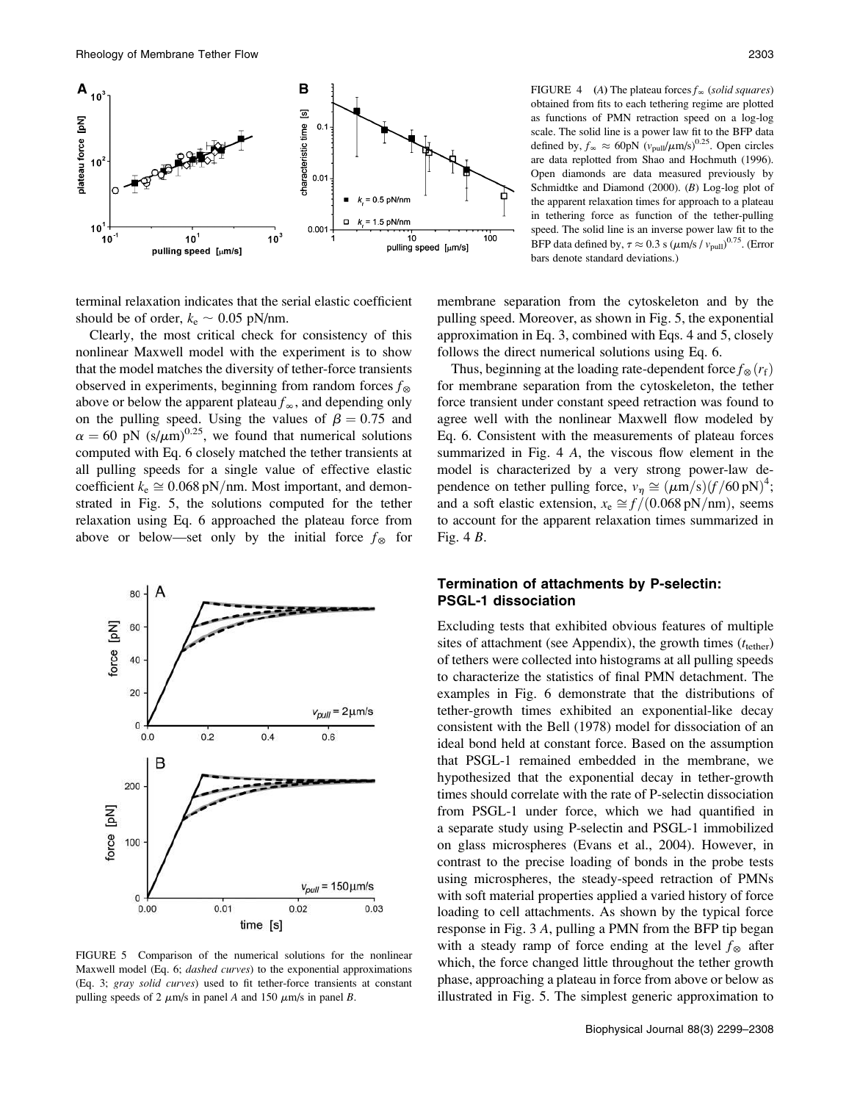

terminal relaxation indicates that the serial elastic coefficient should be of order,  $k_e \sim 0.05$  pN/nm.

Clearly, the most critical check for consistency of this nonlinear Maxwell model with the experiment is to show that the model matches the diversity of tether-force transients observed in experiments, beginning from random forces  $f_{\otimes}$ above or below the apparent plateau  $f_\infty$ , and depending only on the pulling speed. Using the values of  $\beta = 0.75$  and  $\alpha = 60$  pN (s/ $\mu$ m)<sup>0.25</sup>, we found that numerical solutions computed with Eq. 6 closely matched the tether transients at all pulling speeds for a single value of effective elastic coefficient  $k_e \approx 0.068 \text{ pN/nm}$ . Most important, and demonstrated in Fig. 5, the solutions computed for the tether relaxation using Eq. 6 approached the plateau force from above or below—set only by the initial force  $f_{\otimes}$  for



FIGURE 5 Comparison of the numerical solutions for the nonlinear Maxwell model (Eq. 6; dashed curves) to the exponential approximations (Eq. 3; gray solid curves) used to fit tether-force transients at constant pulling speeds of 2  $\mu$ m/s in panel A and 150  $\mu$ m/s in panel B.

FIGURE 4 (A) The plateau forces  $f_\infty$  (solid squares) obtained from fits to each tethering regime are plotted as functions of PMN retraction speed on a log-log scale. The solid line is a power law fit to the BFP data defined by,  $f_{\infty} \approx 60 \text{pN} \left( v_{\text{pull}}/\mu \text{m/s} \right)^{0.25}$ . Open circles are data replotted from Shao and Hochmuth (1996). Open diamonds are data measured previously by Schmidtke and Diamond (2000). (B) Log-log plot of the apparent relaxation times for approach to a plateau in tethering force as function of the tether-pulling speed. The solid line is an inverse power law fit to the BFP data defined by,  $\tau \approx 0.3$  s ( $\mu$ m/s /  $v_{\text{pull}}$ )<sup>0.75</sup>. (Error bars denote standard deviations.)

membrane separation from the cytoskeleton and by the pulling speed. Moreover, as shown in Fig. 5, the exponential approximation in Eq. 3, combined with Eqs. 4 and 5, closely follows the direct numerical solutions using Eq. 6.

Thus, beginning at the loading rate-dependent force  $f_{\infty}(r_f)$ for membrane separation from the cytoskeleton, the tether force transient under constant speed retraction was found to agree well with the nonlinear Maxwell flow modeled by Eq. 6. Consistent with the measurements of plateau forces summarized in Fig. 4 A, the viscous flow element in the model is characterized by a very strong power-law dependence on tether pulling force,  $v_{\eta} \approx (\mu \text{m/s})(f/60 \text{ pN})^4$ ; and a soft elastic extension,  $x_e \approx f/(0.068 \text{ pN/nm})$ , seems to account for the apparent relaxation times summarized in Fig. 4 B.

# Termination of attachments by P-selectin: PSGL-1 dissociation

Excluding tests that exhibited obvious features of multiple sites of attachment (see Appendix), the growth times  $(t<sub>tether</sub>)$ of tethers were collected into histograms at all pulling speeds to characterize the statistics of final PMN detachment. The examples in Fig. 6 demonstrate that the distributions of tether-growth times exhibited an exponential-like decay consistent with the Bell (1978) model for dissociation of an ideal bond held at constant force. Based on the assumption that PSGL-1 remained embedded in the membrane, we hypothesized that the exponential decay in tether-growth times should correlate with the rate of P-selectin dissociation from PSGL-1 under force, which we had quantified in a separate study using P-selectin and PSGL-1 immobilized on glass microspheres (Evans et al., 2004). However, in contrast to the precise loading of bonds in the probe tests using microspheres, the steady-speed retraction of PMNs with soft material properties applied a varied history of force loading to cell attachments. As shown by the typical force response in Fig. 3 A, pulling a PMN from the BFP tip began with a steady ramp of force ending at the level  $f_{\otimes}$  after which, the force changed little throughout the tether growth phase, approaching a plateau in force from above or below as illustrated in Fig. 5. The simplest generic approximation to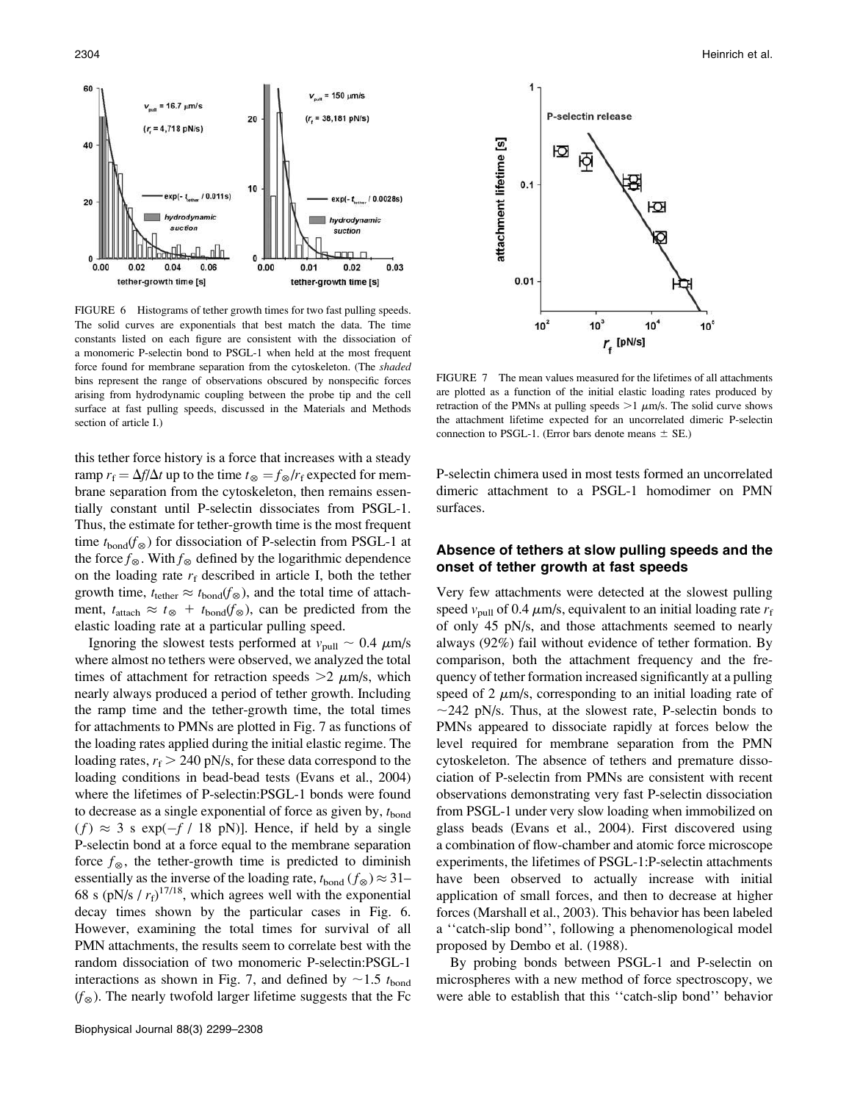

FIGURE 6 Histograms of tether growth times for two fast pulling speeds. The solid curves are exponentials that best match the data. The time constants listed on each figure are consistent with the dissociation of a monomeric P-selectin bond to PSGL-1 when held at the most frequent force found for membrane separation from the cytoskeleton. (The shaded bins represent the range of observations obscured by nonspecific forces arising from hydrodynamic coupling between the probe tip and the cell surface at fast pulling speeds, discussed in the Materials and Methods section of article I.)

this tether force history is a force that increases with a steady ramp  $r_f = \Delta f / \Delta t$  up to the time  $t_{\infty} = f_{\infty}/r_f$  expected for membrane separation from the cytoskeleton, then remains essentially constant until P-selectin dissociates from PSGL-1. Thus, the estimate for tether-growth time is the most frequent time  $t_{bond}(f_{\otimes})$  for dissociation of P-selectin from PSGL-1 at the force  $f_{\otimes}$ . With  $f_{\otimes}$  defined by the logarithmic dependence on the loading rate  $r_f$  described in article I, both the tether growth time,  $t_{\text{tether}} \approx t_{\text{bond}}(f_{\otimes})$ , and the total time of attachment,  $t_{\text{attack}} \approx t_{\otimes} + t_{\text{bond}}(f_{\otimes})$ , can be predicted from the elastic loading rate at a particular pulling speed.

Ignoring the slowest tests performed at  $v_{\text{pull}} \sim 0.4 \ \mu \text{m/s}$ where almost no tethers were observed, we analyzed the total times of attachment for retraction speeds  $>2 \mu m/s$ , which nearly always produced a period of tether growth. Including the ramp time and the tether-growth time, the total times for attachments to PMNs are plotted in Fig. 7 as functions of the loading rates applied during the initial elastic regime. The loading rates,  $r_f > 240$  pN/s, for these data correspond to the loading conditions in bead-bead tests (Evans et al., 2004) where the lifetimes of P-selectin:PSGL-1 bonds were found to decrease as a single exponential of force as given by,  $t_{\text{bond}}$  $(f) \approx 3$  s exp( $-f / 18$  pN)]. Hence, if held by a single P-selectin bond at a force equal to the membrane separation force  $f_{\otimes}$ , the tether-growth time is predicted to diminish essentially as the inverse of the loading rate,  $t_{\text{bond}}$  ( $f_{\otimes}$ )  $\approx$  31– 68 s (pN/s /  $r_f$ )<sup>17/18</sup>, which agrees well with the exponential decay times shown by the particular cases in Fig. 6. However, examining the total times for survival of all PMN attachments, the results seem to correlate best with the random dissociation of two monomeric P-selectin:PSGL-1 interactions as shown in Fig. 7, and defined by  $\sim$ 1.5  $t_{\text{bond}}$  $(f_{\infty})$ . The nearly twofold larger lifetime suggests that the Fc



FIGURE 7 The mean values measured for the lifetimes of all attachments are plotted as a function of the initial elastic loading rates produced by retraction of the PMNs at pulling speeds  $>1$   $\mu$ m/s. The solid curve shows the attachment lifetime expected for an uncorrelated dimeric P-selectin connection to PSGL-1. (Error bars denote means  $\pm$  SE.)

P-selectin chimera used in most tests formed an uncorrelated dimeric attachment to a PSGL-1 homodimer on PMN surfaces.

## Absence of tethers at slow pulling speeds and the onset of tether growth at fast speeds

Very few attachments were detected at the slowest pulling speed  $v_{\text{pull}}$  of 0.4  $\mu$ m/s, equivalent to an initial loading rate  $r_f$ of only 45 pN/s, and those attachments seemed to nearly always (92%) fail without evidence of tether formation. By comparison, both the attachment frequency and the frequency of tether formation increased significantly at a pulling speed of 2  $\mu$ m/s, corresponding to an initial loading rate of  $\sim$ 242 pN/s. Thus, at the slowest rate, P-selectin bonds to PMNs appeared to dissociate rapidly at forces below the level required for membrane separation from the PMN cytoskeleton. The absence of tethers and premature dissociation of P-selectin from PMNs are consistent with recent observations demonstrating very fast P-selectin dissociation from PSGL-1 under very slow loading when immobilized on glass beads (Evans et al., 2004). First discovered using a combination of flow-chamber and atomic force microscope experiments, the lifetimes of PSGL-1:P-selectin attachments have been observed to actually increase with initial application of small forces, and then to decrease at higher forces (Marshall et al., 2003). This behavior has been labeled a ''catch-slip bond'', following a phenomenological model proposed by Dembo et al. (1988).

By probing bonds between PSGL-1 and P-selectin on microspheres with a new method of force spectroscopy, we were able to establish that this ''catch-slip bond'' behavior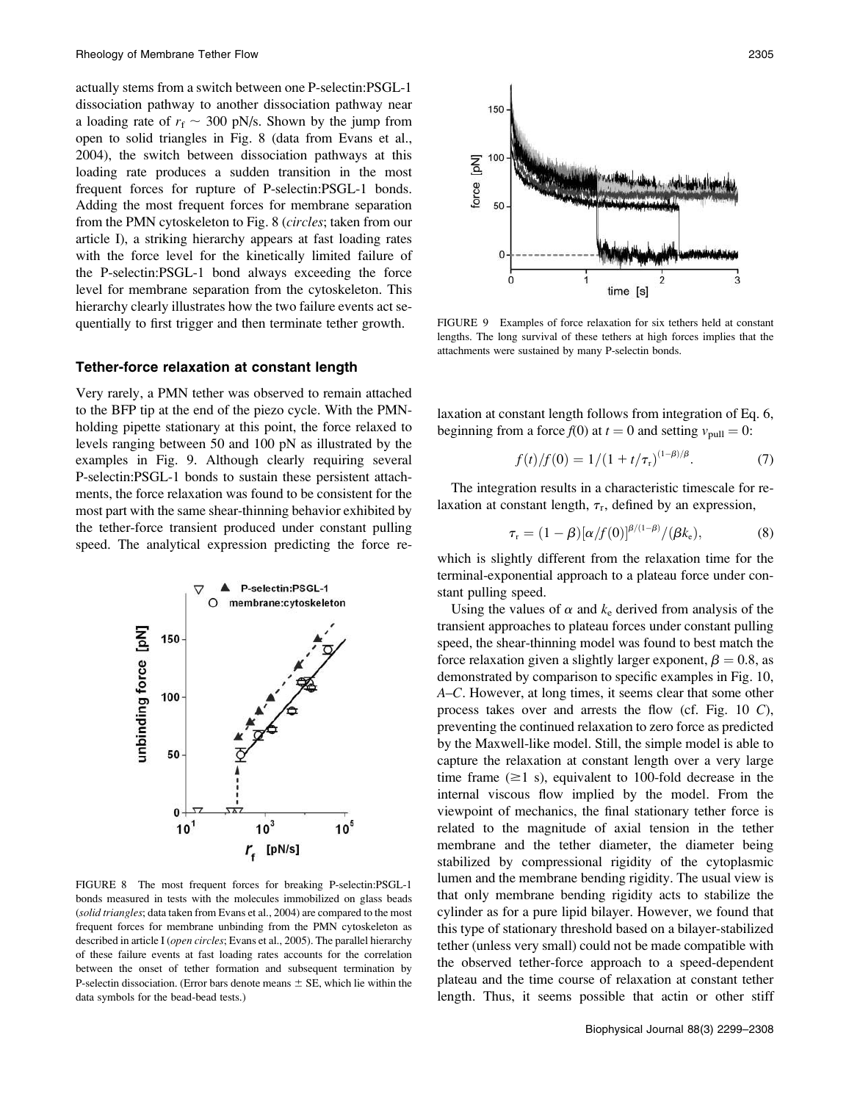actually stems from a switch between one P-selectin:PSGL-1 dissociation pathway to another dissociation pathway near a loading rate of  $r_f \sim 300$  pN/s. Shown by the jump from open to solid triangles in Fig. 8 (data from Evans et al., 2004), the switch between dissociation pathways at this loading rate produces a sudden transition in the most frequent forces for rupture of P-selectin:PSGL-1 bonds. Adding the most frequent forces for membrane separation from the PMN cytoskeleton to Fig. 8 (circles; taken from our article I), a striking hierarchy appears at fast loading rates with the force level for the kinetically limited failure of the P-selectin:PSGL-1 bond always exceeding the force level for membrane separation from the cytoskeleton. This hierarchy clearly illustrates how the two failure events act sequentially to first trigger and then terminate tether growth.

### Tether-force relaxation at constant length

Very rarely, a PMN tether was observed to remain attached to the BFP tip at the end of the piezo cycle. With the PMNholding pipette stationary at this point, the force relaxed to levels ranging between 50 and 100 pN as illustrated by the examples in Fig. 9. Although clearly requiring several P-selectin:PSGL-1 bonds to sustain these persistent attachments, the force relaxation was found to be consistent for the most part with the same shear-thinning behavior exhibited by the tether-force transient produced under constant pulling speed. The analytical expression predicting the force re-



FIGURE 8 The most frequent forces for breaking P-selectin:PSGL-1 bonds measured in tests with the molecules immobilized on glass beads (solid triangles; data taken from Evans et al., 2004) are compared to the most frequent forces for membrane unbinding from the PMN cytoskeleton as described in article I (open circles; Evans et al., 2005). The parallel hierarchy of these failure events at fast loading rates accounts for the correlation between the onset of tether formation and subsequent termination by P-selectin dissociation. (Error bars denote means  $\pm$  SE, which lie within the data symbols for the bead-bead tests.)



FIGURE 9 Examples of force relaxation for six tethers held at constant lengths. The long survival of these tethers at high forces implies that the attachments were sustained by many P-selectin bonds.

laxation at constant length follows from integration of Eq. 6, beginning from a force  $f(0)$  at  $t = 0$  and setting  $v_{\text{pull}} = 0$ :

$$
f(t)/f(0) = 1/(1 + t/\tau_r)^{(1-\beta)/\beta}.
$$
 (7)

The integration results in a characteristic timescale for relaxation at constant length,  $\tau_r$ , defined by an expression,

$$
\tau_{\rm r} = (1-\beta) [\alpha/f(0)]^{\beta/(1-\beta)}/(\beta k_{\rm e}), \qquad (8)
$$

which is slightly different from the relaxation time for the terminal-exponential approach to a plateau force under constant pulling speed.

Using the values of  $\alpha$  and  $k_e$  derived from analysis of the transient approaches to plateau forces under constant pulling speed, the shear-thinning model was found to best match the force relaxation given a slightly larger exponent,  $\beta = 0.8$ , as demonstrated by comparison to specific examples in Fig. 10, A–C. However, at long times, it seems clear that some other process takes over and arrests the flow (cf. Fig. 10 C), preventing the continued relaxation to zero force as predicted by the Maxwell-like model. Still, the simple model is able to capture the relaxation at constant length over a very large time frame  $(\geq 1 \text{ s})$ , equivalent to 100-fold decrease in the internal viscous flow implied by the model. From the viewpoint of mechanics, the final stationary tether force is related to the magnitude of axial tension in the tether membrane and the tether diameter, the diameter being stabilized by compressional rigidity of the cytoplasmic lumen and the membrane bending rigidity. The usual view is that only membrane bending rigidity acts to stabilize the cylinder as for a pure lipid bilayer. However, we found that this type of stationary threshold based on a bilayer-stabilized tether (unless very small) could not be made compatible with the observed tether-force approach to a speed-dependent plateau and the time course of relaxation at constant tether length. Thus, it seems possible that actin or other stiff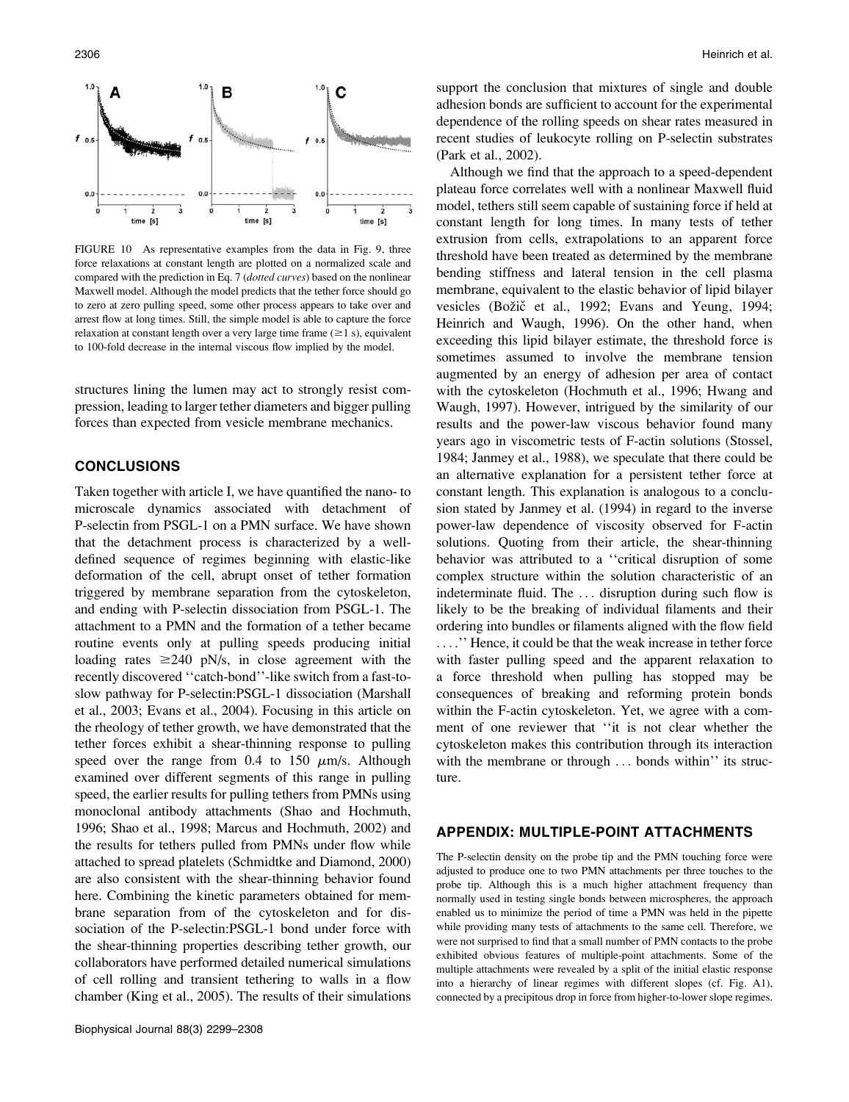

FIGURE 10 As representative examples from the data in Fig. 9, three force relaxations at constant length are plotted on a normalized scale and compared with the prediction in Eq. 7 (dotted curves) based on the nonlinear Maxwell model. Although the model predicts that the tether force should go to zero at zero pulling speed, some other process appears to take over and arrest flow at long times. Still, the simple model is able to capture the force relaxation at constant length over a very large time frame  $(\geq 1 \text{ s})$ , equivalent to 100-fold decrease in the internal viscous flow implied by the model.

structures lining the lumen may act to strongly resist compression, leading to larger tether diameters and bigger pulling forces than expected from vesicle membrane mechanics.

# CONCLUSIONS

Taken together with article I, we have quantified the nano- to microscale dynamics associated with detachment of P-selectin from PSGL-1 on a PMN surface. We have shown that the detachment process is characterized by a welldefined sequence of regimes beginning with elastic-like deformation of the cell, abrupt onset of tether formation triggered by membrane separation from the cytoskeleton, and ending with P-selectin dissociation from PSGL-1. The attachment to a PMN and the formation of a tether became routine events only at pulling speeds producing initial loading rates  $\geq 240$  pN/s, in close agreement with the recently discovered ''catch-bond''-like switch from a fast-toslow pathway for P-selectin:PSGL-1 dissociation (Marshall et al., 2003; Evans et al., 2004). Focusing in this article on the rheology of tether growth, we have demonstrated that the tether forces exhibit a shear-thinning response to pulling speed over the range from 0.4 to 150  $\mu$ m/s. Although examined over different segments of this range in pulling speed, the earlier results for pulling tethers from PMNs using monoclonal antibody attachments (Shao and Hochmuth, 1996; Shao et al., 1998; Marcus and Hochmuth, 2002) and the results for tethers pulled from PMNs under flow while attached to spread platelets (Schmidtke and Diamond, 2000) are also consistent with the shear-thinning behavior found here. Combining the kinetic parameters obtained for membrane separation from of the cytoskeleton and for dissociation of the P-selectin:PSGL-1 bond under force with the shear-thinning properties describing tether growth, our collaborators have performed detailed numerical simulations of cell rolling and transient tethering to walls in a flow chamber (King et al., 2005). The results of their simulations support the conclusion that mixtures of single and double adhesion bonds are sufficient to account for the experimental dependence of the rolling speeds on shear rates measured in recent studies of leukocyte rolling on P-selectin substrates (Park et al., 2002).

Although we find that the approach to a speed-dependent plateau force correlates well with a nonlinear Maxwell fluid model, tethers still seem capable of sustaining force if held at constant length for long times. In many tests of tether extrusion from cells, extrapolations to an apparent force threshold have been treated as determined by the membrane bending stiffness and lateral tension in the cell plasma membrane, equivalent to the elastic behavior of lipid bilayer vesicles (Božič et al., 1992; Evans and Yeung, 1994; Heinrich and Waugh, 1996). On the other hand, when exceeding this lipid bilayer estimate, the threshold force is sometimes assumed to involve the membrane tension augmented by an energy of adhesion per area of contact with the cytoskeleton (Hochmuth et al., 1996; Hwang and Waugh, 1997). However, intrigued by the similarity of our results and the power-law viscous behavior found many years ago in viscometric tests of F-actin solutions (Stossel, 1984; Janmey et al., 1988), we speculate that there could be an alternative explanation for a persistent tether force at constant length. This explanation is analogous to a conclusion stated by Janmey et al. (1994) in regard to the inverse power-law dependence of viscosity observed for F-actin solutions. Quoting from their article, the shear-thinning behavior was attributed to a ''critical disruption of some complex structure within the solution characteristic of an indeterminate fluid. The ... disruption during such flow is likely to be the breaking of individual filaments and their ordering into bundles or filaments aligned with the flow field ... .'' Hence, it could be that the weak increase in tether force with faster pulling speed and the apparent relaxation to a force threshold when pulling has stopped may be consequences of breaking and reforming protein bonds within the F-actin cytoskeleton. Yet, we agree with a comment of one reviewer that ''it is not clear whether the cytoskeleton makes this contribution through its interaction with the membrane or through ... bonds within'' its structure.

### APPENDIX: MULTIPLE-POINT ATTACHMENTS

The P-selectin density on the probe tip and the PMN touching force were adjusted to produce one to two PMN attachments per three touches to the probe tip. Although this is a much higher attachment frequency than normally used in testing single bonds between microspheres, the approach enabled us to minimize the period of time a PMN was held in the pipette while providing many tests of attachments to the same cell. Therefore, we were not surprised to find that a small number of PMN contacts to the probe exhibited obvious features of multiple-point attachments. Some of the multiple attachments were revealed by a split of the initial elastic response into a hierarchy of linear regimes with different slopes (cf. Fig. A1), connected by a precipitous drop in force from higher-to-lower slope regimes.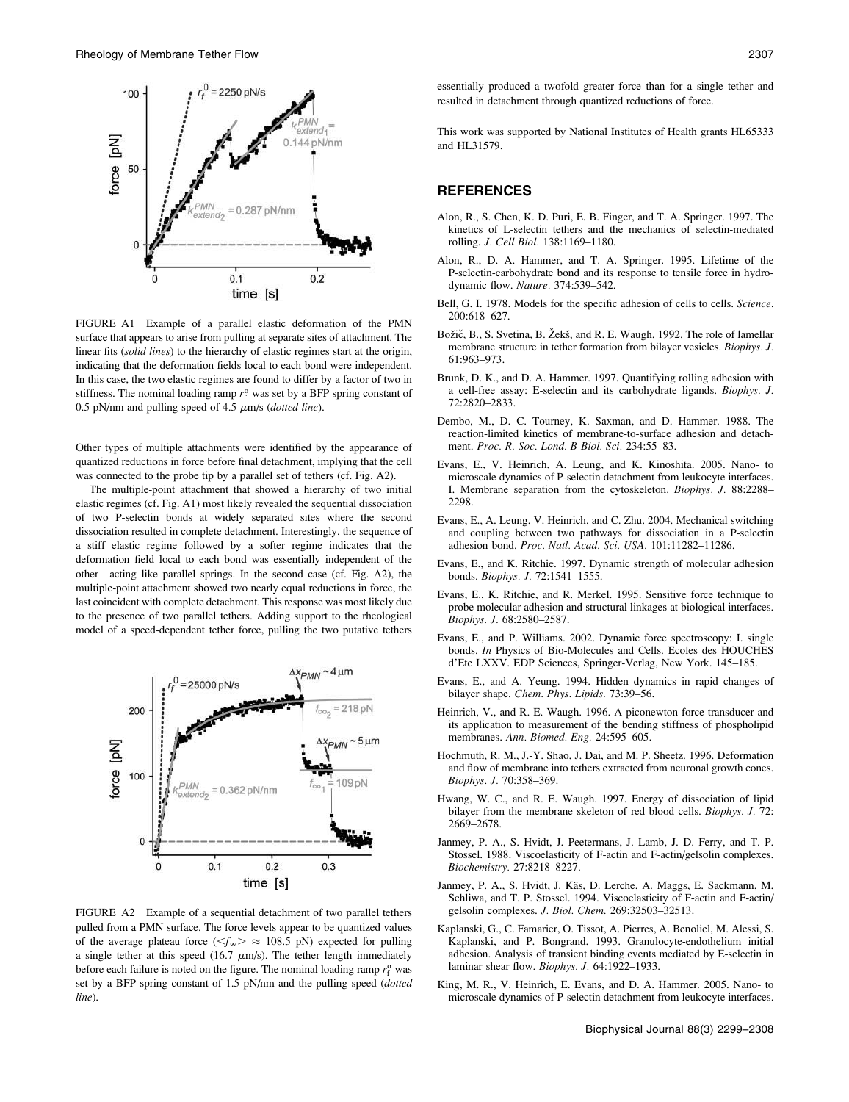

FIGURE A1 Example of a parallel elastic deformation of the PMN surface that appears to arise from pulling at separate sites of attachment. The linear fits (solid lines) to the hierarchy of elastic regimes start at the origin, indicating that the deformation fields local to each bond were independent. In this case, the two elastic regimes are found to differ by a factor of two in stiffness. The nominal loading ramp  $r_f^{\text{o}}$  was set by a BFP spring constant of 0.5 pN/nm and pulling speed of 4.5  $\mu$ m/s (dotted line).

Other types of multiple attachments were identified by the appearance of quantized reductions in force before final detachment, implying that the cell was connected to the probe tip by a parallel set of tethers (cf. Fig. A2).

The multiple-point attachment that showed a hierarchy of two initial elastic regimes (cf. Fig. A1) most likely revealed the sequential dissociation of two P-selectin bonds at widely separated sites where the second dissociation resulted in complete detachment. Interestingly, the sequence of a stiff elastic regime followed by a softer regime indicates that the deformation field local to each bond was essentially independent of the other—acting like parallel springs. In the second case (cf. Fig. A2), the multiple-point attachment showed two nearly equal reductions in force, the last coincident with complete detachment. This response was most likely due to the presence of two parallel tethers. Adding support to the rheological model of a speed-dependent tether force, pulling the two putative tethers



FIGURE A2 Example of a sequential detachment of two parallel tethers pulled from a PMN surface. The force levels appear to be quantized values of the average plateau force ( $\leq f_\infty$ )  $\approx$  108.5 pN) expected for pulling a single tether at this speed (16.7  $\mu$ m/s). The tether length immediately before each failure is noted on the figure. The nominal loading ramp  $r_f^0$  was set by a BFP spring constant of 1.5 pN/nm and the pulling speed (dotted line).

essentially produced a twofold greater force than for a single tether and resulted in detachment through quantized reductions of force.

This work was supported by National Institutes of Health grants HL65333 and HL31579.

#### **REFERENCES**

- Alon, R., S. Chen, K. D. Puri, E. B. Finger, and T. A. Springer. 1997. The kinetics of L-selectin tethers and the mechanics of selectin-mediated rolling. J. Cell Biol. 138:1169–1180.
- Alon, R., D. A. Hammer, and T. A. Springer. 1995. Lifetime of the P-selectin-carbohydrate bond and its response to tensile force in hydrodynamic flow. Nature. 374:539–542.
- Bell, G. I. 1978. Models for the specific adhesion of cells to cells. Science. 200:618–627.
- Božič, B., S. Svetina, B. Žekš, and R. E. Waugh. 1992. The role of lamellar membrane structure in tether formation from bilayer vesicles. Biophys. J. 61:963–973.
- Brunk, D. K., and D. A. Hammer. 1997. Quantifying rolling adhesion with a cell-free assay: E-selectin and its carbohydrate ligands. Biophys. J. 72:2820–2833.
- Dembo, M., D. C. Tourney, K. Saxman, and D. Hammer. 1988. The reaction-limited kinetics of membrane-to-surface adhesion and detachment. Proc. R. Soc. Lond. B Biol. Sci. 234:55–83.
- Evans, E., V. Heinrich, A. Leung, and K. Kinoshita. 2005. Nano- to microscale dynamics of P-selectin detachment from leukocyte interfaces. I. Membrane separation from the cytoskeleton. Biophys. J. 88:2288– 2298.
- Evans, E., A. Leung, V. Heinrich, and C. Zhu. 2004. Mechanical switching and coupling between two pathways for dissociation in a P-selectin adhesion bond. Proc. Natl. Acad. Sci. USA. 101:11282–11286.
- Evans, E., and K. Ritchie. 1997. Dynamic strength of molecular adhesion bonds. Biophys. J. 72:1541–1555.
- Evans, E., K. Ritchie, and R. Merkel. 1995. Sensitive force technique to probe molecular adhesion and structural linkages at biological interfaces. Biophys. J. 68:2580–2587.
- Evans, E., and P. Williams. 2002. Dynamic force spectroscopy: I. single bonds. In Physics of Bio-Molecules and Cells. Ecoles des HOUCHES d'Ete LXXV. EDP Sciences, Springer-Verlag, New York. 145–185.
- Evans, E., and A. Yeung. 1994. Hidden dynamics in rapid changes of bilayer shape. Chem. Phys. Lipids. 73:39–56.
- Heinrich, V., and R. E. Waugh. 1996. A piconewton force transducer and its application to measurement of the bending stiffness of phospholipid membranes. Ann. Biomed. Eng. 24:595–605.
- Hochmuth, R. M., J.-Y. Shao, J. Dai, and M. P. Sheetz. 1996. Deformation and flow of membrane into tethers extracted from neuronal growth cones. Biophys. J. 70:358–369.
- Hwang, W. C., and R. E. Waugh. 1997. Energy of dissociation of lipid bilayer from the membrane skeleton of red blood cells. Biophys. J. 72: 2669–2678.
- Janmey, P. A., S. Hvidt, J. Peetermans, J. Lamb, J. D. Ferry, and T. P. Stossel. 1988. Viscoelasticity of F-actin and F-actin/gelsolin complexes. Biochemistry. 27:8218–8227.
- Janmey, P. A., S. Hvidt, J. Käs, D. Lerche, A. Maggs, E. Sackmann, M. Schliwa, and T. P. Stossel. 1994. Viscoelasticity of F-actin and F-actin/ gelsolin complexes. J. Biol. Chem. 269:32503–32513.
- Kaplanski, G., C. Famarier, O. Tissot, A. Pierres, A. Benoliel, M. Alessi, S. Kaplanski, and P. Bongrand. 1993. Granulocyte-endothelium initial adhesion. Analysis of transient binding events mediated by E-selectin in laminar shear flow. Biophys. J. 64:1922-1933.
- King, M. R., V. Heinrich, E. Evans, and D. A. Hammer. 2005. Nano- to microscale dynamics of P-selectin detachment from leukocyte interfaces.